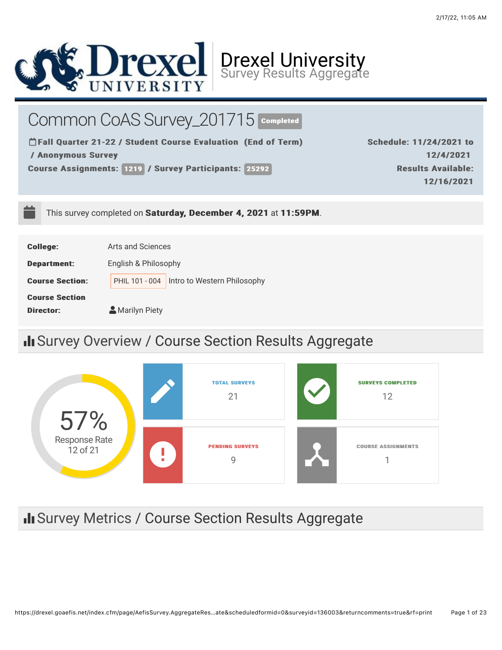

Common CoAS Survey\_201715 COmpleted

**THall Quarter 21-22 / Student Course Evaluation (End of Term)** / Anonymous Survey / Anonymous Survey

Course Assignments: 1219 / Survey Participants: 25292

Schedule: 11/24/2021 to 12/4/2021 12/4/2021 **Results Available:** 12/16/2021 12/16/2021

This survey completed on Saturday, December 4, 2021 at 11:59PM.

| <b>College:</b>        | Arts and Sciences                             |
|------------------------|-----------------------------------------------|
| <b>Department:</b>     | English & Philosophy                          |
| <b>Course Section:</b> | Intro to Western Philosophy<br>PHIL 101 - 004 |
| <b>Course Section</b>  |                                               |
| <b>Director:</b>       | Marilyn Piety                                 |

# II Survey Overview / Course Section Results Aggregate



# II Survey Metrics / Course Section Results Aggregate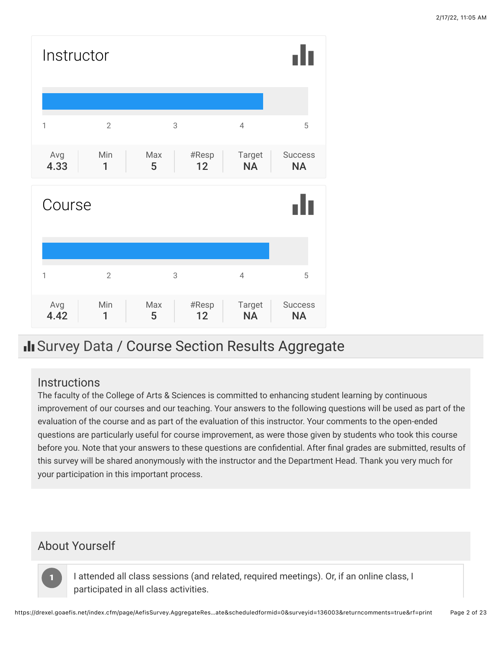

# Il Survey Data / Course Section Results Aggregate

## **Instructions**

The faculty of the College of Arts & Sciences is committed to enhancing student learning by continuous improvement of our courses and our teaching. Your answers to the following questions will be used as part of the evaluation of the course and as part of the evaluation of this instructor. Your comments to the open-ended questions are particularly useful for course improvement, as were those given by students who took this course before you. Note that your answers to these questions are confidential. After final grades are submitted, results of this survey will be shared anonymously with the instructor and the Department Head. Thank you very much for your participation in this important process.

# About Yourself

11

I attended all class sessions (and related, required meetings). Or, if an online class, I participated in all class activities.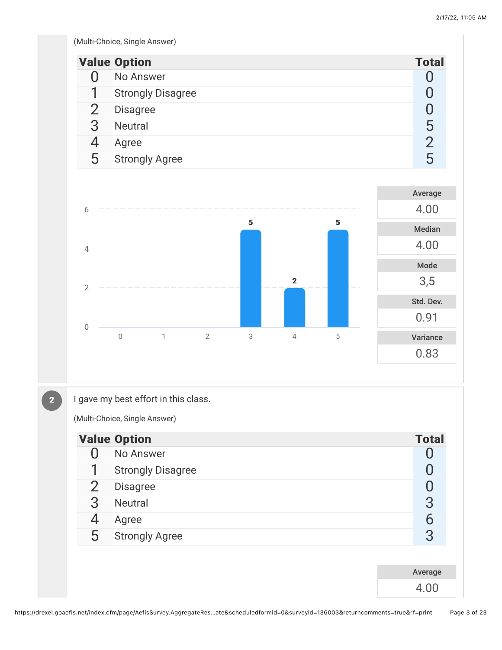(Multi-Choice, Single Answer)

|                | <b>Value Option</b>      | <b>Total</b> |
|----------------|--------------------------|--------------|
|                | No Answer                |              |
| $\mathbf 1$    | <b>Strongly Disagree</b> | 0            |
| $\overline{2}$ | <b>Disagree</b>          |              |
| 3              | <b>Neutral</b>           | 5            |
|                | Agree                    | 2            |
| 5              | <b>Strongly Agree</b>    | 5            |
|                |                          |              |
|                |                          | Average      |



 $\boxed{2}$ 

I gave my best effort in this class.

(Multi-Choice, Single Answer)

|                | <b>Value Option</b>      | <b>Total</b> |
|----------------|--------------------------|--------------|
| U              | No Answer                |              |
| 1              | <b>Strongly Disagree</b> |              |
| $\overline{2}$ | <b>Disagree</b>          |              |
| 3              | <b>Neutral</b>           | 3            |
| 4              | Agree                    | 6            |
| 5              | <b>Strongly Agree</b>    | 3            |
|                |                          |              |
|                |                          | Average      |
|                |                          | 4.00         |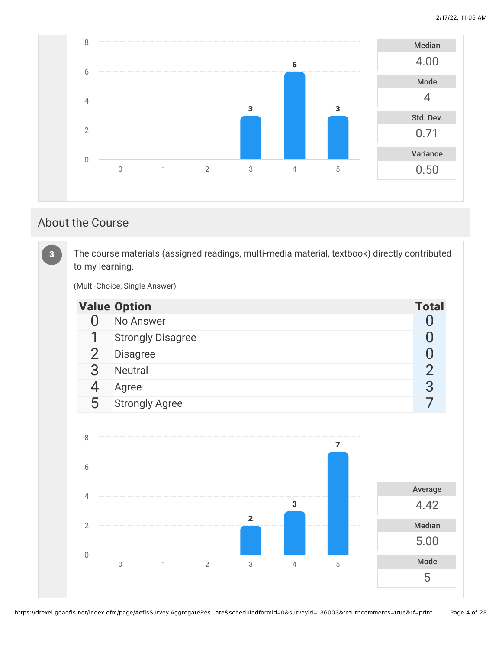5



## About the Course

The course materials (assigned readings, multi-media material, textbook) directly contributed to my learning. (Multi-Choice, Single Answer) Value Option Total According to the United States of the United States of the United States of the United States of the United States of the United States of the United States of the United States of the United States of t 0 No Answer 0 20 No Answer 0 20 No Answer 0 20 No Answer 0 20 No Answer 0 20 No Answer 0 20 No Answer 0 20 No Answer 0 20 No Answer 0 20 No Answer 0 20 No Answer 0 20 No Answer 0 20 No Answer 0 20 No Answer 0 20 No Answer 1 Strongly Disagree 0<br>2 Disagree 0<br>0 2 Disagree 0<br>3 Neutral 2<br>4 Agree 3 3 Neutral 2 4 Agree 3 3 5 Strongly Agree 7 7 Average 4.42 Median 5.00 Mode 33 22 33 77 0 1 2 3 4 5 0 2 4 6 8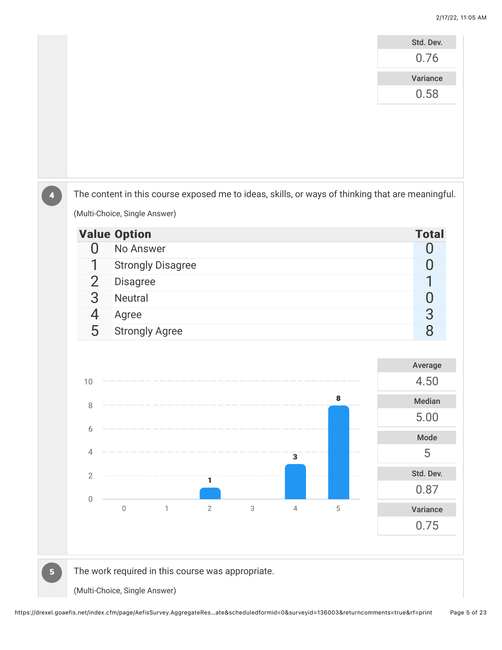|                |                |                                                   |              |                           |                         |             | Std. Dev.                                                                                        |
|----------------|----------------|---------------------------------------------------|--------------|---------------------------|-------------------------|-------------|--------------------------------------------------------------------------------------------------|
|                |                |                                                   |              |                           |                         |             | 0.76                                                                                             |
|                |                |                                                   |              |                           |                         |             | Variance                                                                                         |
|                |                |                                                   |              |                           |                         |             | 0.58                                                                                             |
|                |                |                                                   |              |                           |                         |             |                                                                                                  |
|                |                |                                                   |              |                           |                         |             |                                                                                                  |
|                |                |                                                   |              |                           |                         |             |                                                                                                  |
|                |                |                                                   |              |                           |                         |             |                                                                                                  |
|                |                |                                                   |              |                           |                         |             |                                                                                                  |
|                |                |                                                   |              |                           |                         |             | The content in this course exposed me to ideas, skills, or ways of thinking that are meaningful. |
|                |                | (Multi-Choice, Single Answer)                     |              |                           |                         |             |                                                                                                  |
|                |                | <b>Value Option</b>                               |              |                           |                         |             | <b>Total</b>                                                                                     |
|                | 0              | No Answer                                         |              |                           |                         |             | O                                                                                                |
|                |                | <b>Strongly Disagree</b>                          |              |                           |                         |             | O                                                                                                |
|                | $\overline{2}$ | <b>Disagree</b>                                   |              |                           |                         |             |                                                                                                  |
|                | 3              | Neutral                                           |              |                           |                         |             | $\mathbf{0}$                                                                                     |
|                | 4              | Agree                                             |              |                           |                         |             | $\overline{3}$                                                                                   |
|                | 5              | <b>Strongly Agree</b>                             |              |                           |                         |             | 8                                                                                                |
|                |                |                                                   |              |                           |                         |             |                                                                                                  |
|                |                |                                                   |              |                           |                         |             | Average                                                                                          |
|                | 10             |                                                   |              |                           |                         |             | 4.50                                                                                             |
|                | 8              |                                                   |              |                           |                         | 8           | Median                                                                                           |
|                | 6              |                                                   |              |                           |                         |             | 5.00                                                                                             |
|                |                |                                                   |              |                           |                         |             | Mode                                                                                             |
|                | 4              |                                                   |              |                           | $\overline{\mathbf{3}}$ |             | 5                                                                                                |
|                | $\overline{2}$ |                                                   | $\mathbf{1}$ |                           |                         |             | Std. Dev.                                                                                        |
|                |                |                                                   |              |                           |                         |             | 0.87                                                                                             |
|                | $\mathbf 0$    | $\mathbb O$<br>$\mathbbm{1}$                      | $\sqrt{2}$   | $\ensuremath{\mathsf{3}}$ | $\sqrt{4}$              | $\mathbf 5$ | Variance                                                                                         |
|                |                |                                                   |              |                           |                         |             | 0.75                                                                                             |
|                |                |                                                   |              |                           |                         |             |                                                                                                  |
|                |                |                                                   |              |                           |                         |             |                                                                                                  |
| 5 <sub>5</sub> |                | The work required in this course was appropriate. |              |                           |                         |             |                                                                                                  |
|                |                | (Multi-Choice, Single Answer)                     |              |                           |                         |             |                                                                                                  |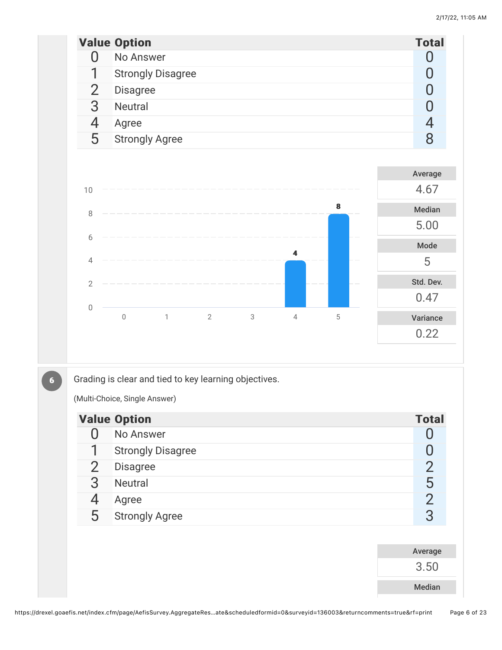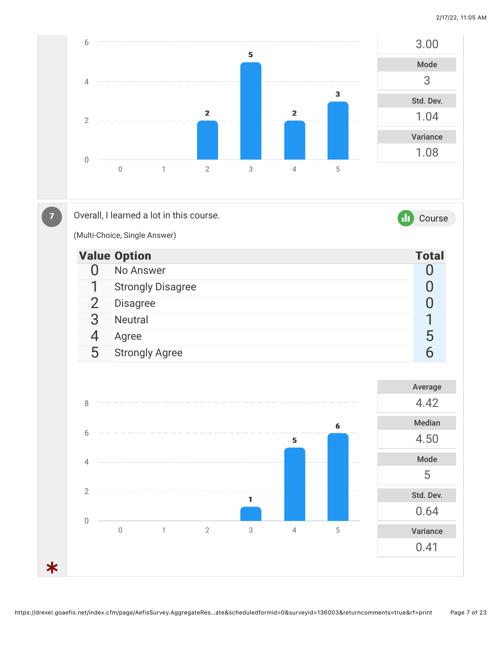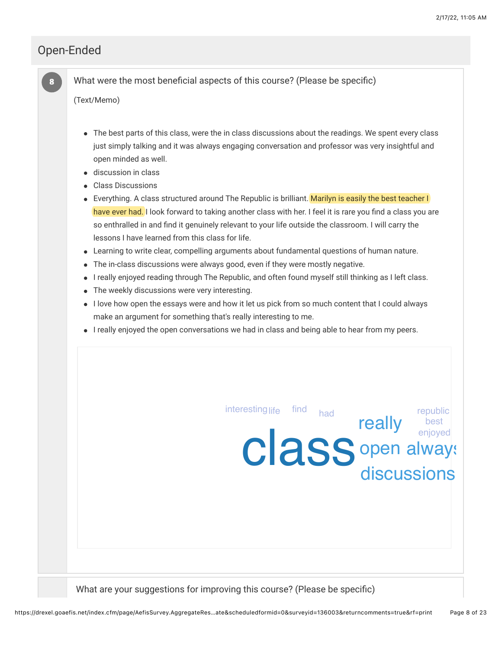really best

life <sup>find</sup> had life republic

## Open-Ended

88

What were the most beneficial aspects of this course? (Please be specific)

(Text/Memo)

- The best parts of this class, were the in class discussions about the readings. We spent every class just simply talking and it was always engaging conversation and professor was very insightful and open minded as well.
- discussion in class
- Class Discussions
- Everything. A class structured around The Republic is brilliant. Marilyn is easily the best teacher I have ever had. I look forward to taking another class with her. I feel it is rare you find a class you are so enthralled in and find it genuinely relevant to your life outside the classroom. I will carry the lessons I have learned from this class for life.
- Learning to write clear, compelling arguments about fundamental questions of human nature.
- The in-class discussions were always good, even if they were mostly negative.
- I really enjoyed reading through The Republic, and often found myself still thinking as I left class.
- The weekly discussions were very interesting.
- I love how open the essays were and how it let us pick from so much content that I could always make an argument for something that's really interesting to me.
- I really enjoyed the open conversations we had in class and being able to hear from my peers.

| <b>CIASS</b> open alway:                                                  |  |
|---------------------------------------------------------------------------|--|
| What are your suggestions for improving this course? (Please be specific) |  |

interesting life find had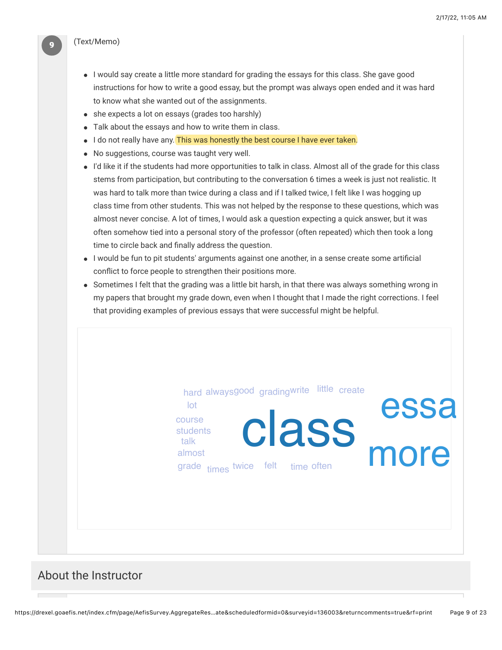#### (Text/Memo)

- I would say create a little more standard for grading the essays for this class. She gave good instructions for how to write a good essay, but the prompt was always open ended and it was hard to know what she wanted out of the assignments.
- she expects a lot on essays (grades too harshly)
- Talk about the essays and how to write them in class.

lot course students talk almost

- I do not really have any. This was honestly the best course I have ever taken.
- No suggestions, course was taught very well.
- I'd like it if the students had more opportunities to talk in class. Almost all of the grade for this class stems from participation, but contributing to the conversation 6 times a week is just not realistic. It was hard to talk more than twice during a class and if I talked twice, I felt like I was hogging up class time from other students. This was not helped by the response to these questions, which was almost never concise. A lot of times, I would ask a question expecting a quick answer, but it was often somehow tied into a personal story of the professor (often repeated) which then took a long time to circle back and finally address the question.
- $\bullet$  I would be fun to pit students' arguments against one another, in a sense create some artificial conflict to force people to strengthen their positions more.
- Sometimes I felt that the grading was a little bit harsh, in that there was always something wrong in my papers that brought my grade down, even when I thought that I made the right corrections. I feel that providing examples of previous essays that were successful might be helpful.

hard alwaysgood gradingwrite little create

Class more

essa

About the Instructor

grade times twice felt time often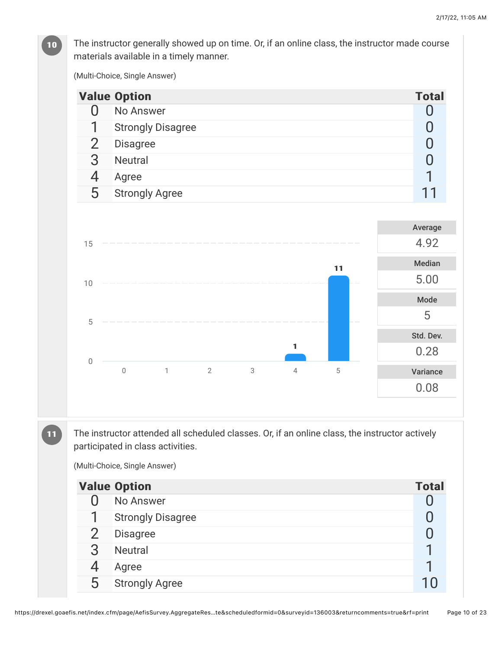The instructor generally showed up on time. Or, if an online class, the instructor made course materials available in a timely manner.

(Multi-Choice, Single Answer)

|                | <b>Value Option</b>   |                          |                |   |                |             | <b>Total</b>   |
|----------------|-----------------------|--------------------------|----------------|---|----------------|-------------|----------------|
| $\overline{0}$ | No Answer             |                          |                |   |                |             | $\overline{0}$ |
| 1              |                       | <b>Strongly Disagree</b> |                |   |                |             | $\overline{0}$ |
| $\overline{2}$ | Disagree              |                          |                |   |                |             | $\overline{0}$ |
| 3              | Neutral               |                          |                |   |                |             | $\overline{0}$ |
| 4              | Agree                 |                          |                |   |                |             | 1              |
| 5              | <b>Strongly Agree</b> |                          |                |   |                |             | 11             |
|                |                       |                          |                |   |                |             |                |
|                |                       |                          |                |   |                |             | Average        |
| 15             |                       |                          |                |   |                |             | 4.92           |
|                |                       |                          |                |   |                | 11          | Median         |
| 10             |                       |                          |                |   |                |             | 5.00           |
|                |                       |                          |                |   |                |             | Mode           |
|                |                       |                          |                |   |                |             | 5              |
| 5              |                       |                          |                |   |                |             | Std. Dev.      |
|                |                       |                          |                |   | 1              |             | 0.28           |
| $\mathbf 0$    | $\mathbf 0$           | $\mathbf{1}$             | $\overline{2}$ | 3 | $\overline{4}$ | $\mathbf 5$ | Variance       |
|                |                       |                          |                |   |                |             | 0.08           |
|                |                       |                          |                |   |                |             |                |
|                |                       |                          |                |   |                |             |                |

The instructor attended all scheduled classes. Or, if an online class, the instructor actively participated in class activities.

(Multi-Choice, Single Answer)

| <b>Value Option</b><br><b>Total</b> |                          |  |  |  |
|-------------------------------------|--------------------------|--|--|--|
|                                     | No Answer                |  |  |  |
|                                     | <b>Strongly Disagree</b> |  |  |  |
|                                     | <b>Disagree</b>          |  |  |  |
| З                                   | <b>Neutral</b>           |  |  |  |
|                                     | Agree                    |  |  |  |
| 5                                   | <b>Strongly Agree</b>    |  |  |  |

https://drexel.goaefis.net/index.cfm/page/AefisSurvey.AggregateRes…te&scheduledformid=0&surveyid=136003&returncomments=true&rf=print Page 10 of 23

10

**11**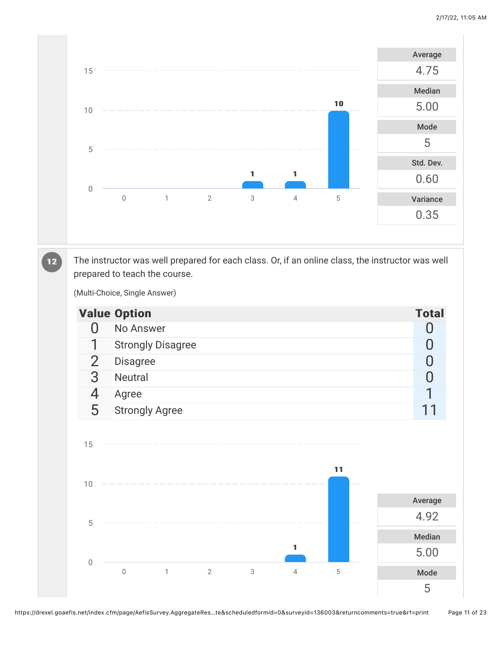

The instructor was well prepared for each class. Or, if an online class, the instructor was well prepared to teach the course.

(Multi-Choice, Single Answer)

12

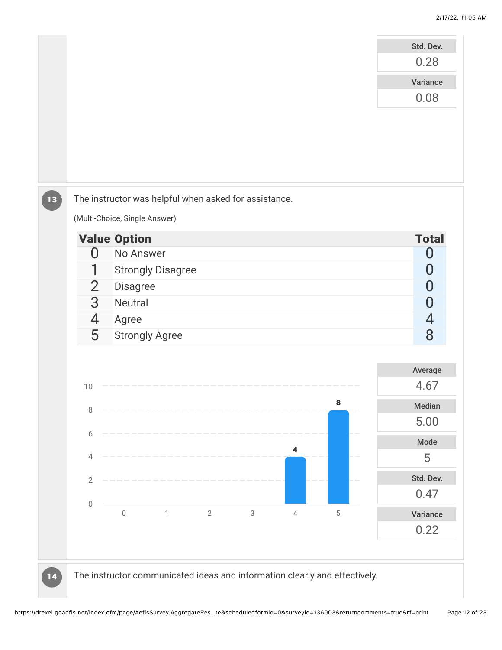

https://drexel.goaefis.net/index.cfm/page/AefisSurvey.AggregateRes…te&scheduledformid=0&surveyid=136003&returncomments=true&rf=print Page 12 of 23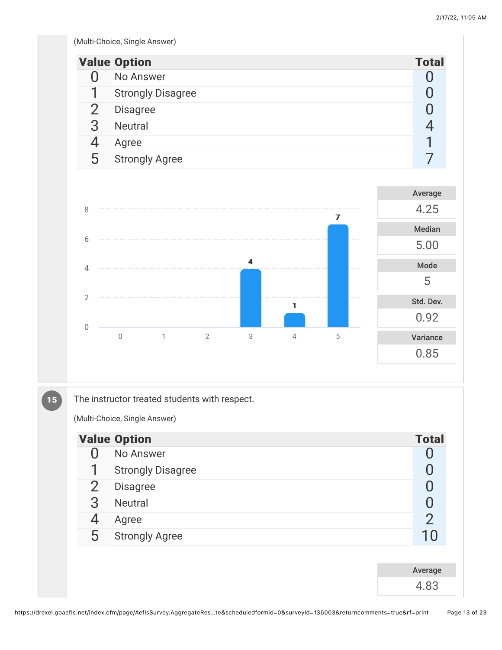(Multi-Choice, Single Answer)

|                | <b>Value Option</b>      | <b>Total</b> |  |  |  |  |
|----------------|--------------------------|--------------|--|--|--|--|
| Π              | No Answer                |              |  |  |  |  |
| 1              | <b>Strongly Disagree</b> |              |  |  |  |  |
| $\overline{2}$ | <b>Disagree</b>          |              |  |  |  |  |
| 3              | <b>Neutral</b>           | 4            |  |  |  |  |
| 4              | Agree                    |              |  |  |  |  |
| 5              | <b>Strongly Agree</b>    |              |  |  |  |  |
|                |                          |              |  |  |  |  |
|                |                          | Average      |  |  |  |  |
| 8              | 7                        | 4.25         |  |  |  |  |
|                |                          | Median       |  |  |  |  |
| 6              |                          | 5.00         |  |  |  |  |



The instructor treated students with respect.

(Multi-Choice, Single Answer)

15

|                | <b>Value Option</b>      | <b>Total</b>  |
|----------------|--------------------------|---------------|
| ( )            | No Answer                |               |
| 1              | <b>Strongly Disagree</b> |               |
| $\overline{2}$ | <b>Disagree</b>          |               |
| 3              | Neutral                  |               |
| 4              | Agree                    | $\mathcal{P}$ |
| 5              | <b>Strongly Agree</b>    | 10            |
|                |                          |               |
|                |                          | Average       |
|                |                          | 4.83          |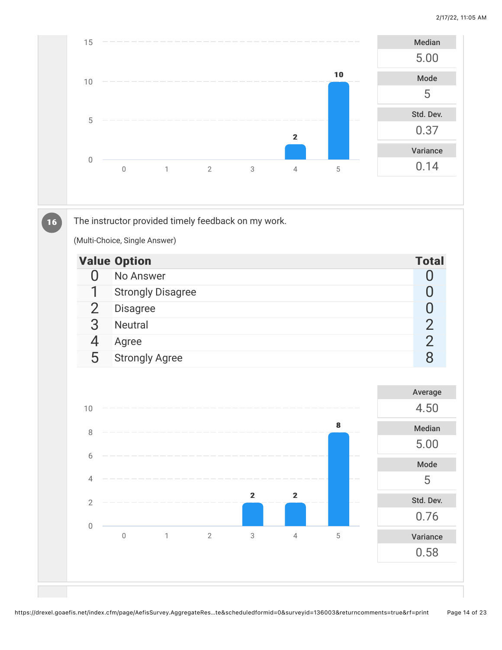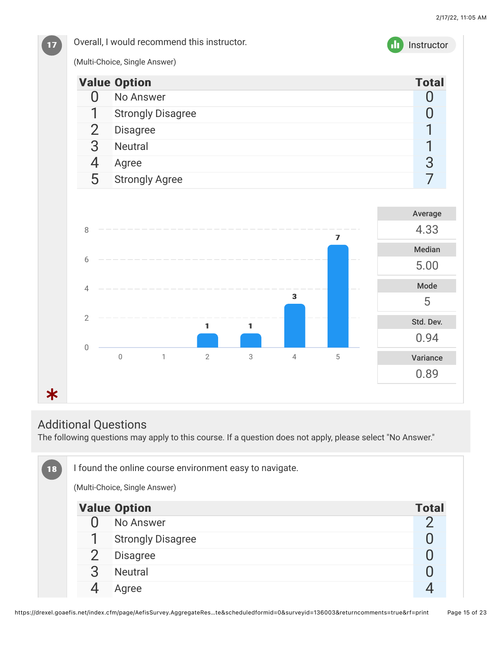

## Additional Questions

The following questions may apply to this course. If a question does not apply, please select "No Answer."

| $18$ | I found the online course environment easy to navigate. |                          |              |  |  |  |  |
|------|---------------------------------------------------------|--------------------------|--------------|--|--|--|--|
|      | (Multi-Choice, Single Answer)                           |                          |              |  |  |  |  |
|      |                                                         | <b>Value Option</b>      | <b>Total</b> |  |  |  |  |
|      |                                                         | No Answer                |              |  |  |  |  |
|      |                                                         | <b>Strongly Disagree</b> |              |  |  |  |  |
|      |                                                         | <b>Disagree</b>          |              |  |  |  |  |
|      | 3                                                       | <b>Neutral</b>           |              |  |  |  |  |
|      |                                                         | Agree                    |              |  |  |  |  |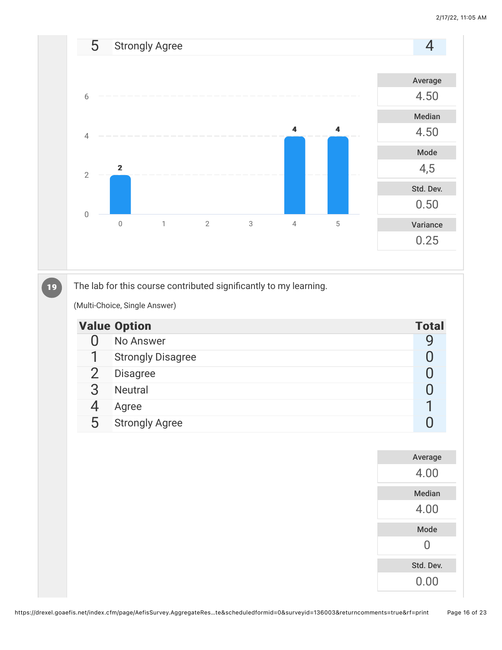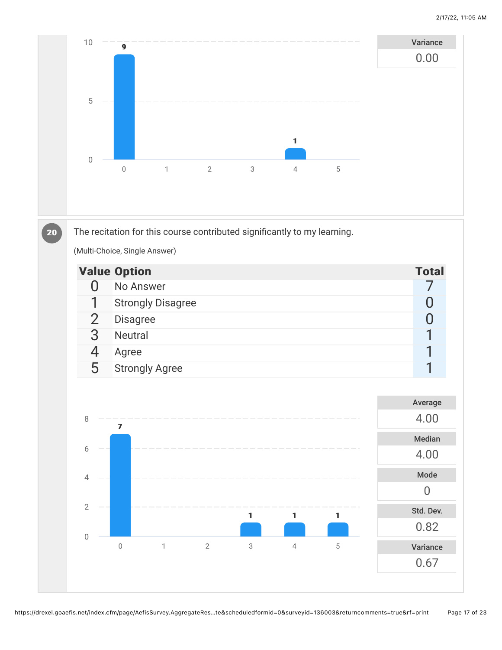

|    | <b>Value Option</b>      | <b>Total</b> |
|----|--------------------------|--------------|
|    | No Answer                |              |
|    | <b>Strongly Disagree</b> |              |
|    | <b>Disagree</b>          |              |
|    | <b>Neutral</b>           |              |
|    | Agree                    |              |
| h. | <b>Strongly Agree</b>    |              |

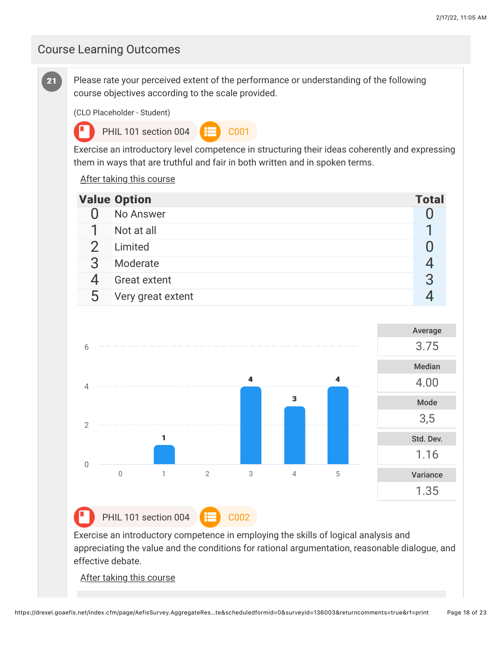#### Course Learning Outcomes





PHIL 101 section 004  $\leftarrow$  C002

Exercise an introductory competence in employing the skills of logical analysis and appreciating the value and the conditions for rational argumentation, reasonable dialogue, and effective debate.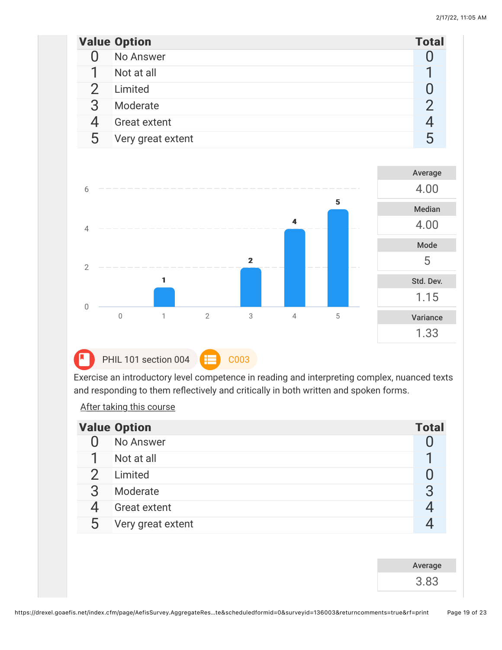|   | <b>Value Option</b> | <b>Total</b> |
|---|---------------------|--------------|
|   | No Answer           |              |
|   | Not at all          |              |
|   | Limited             |              |
| 3 | Moderate            | 2            |
|   | <b>Great extent</b> |              |
| 5 | Very great extent   | 5            |
|   |                     |              |



Exercise an introductory level competence in reading and interpreting complex, nuanced texts and responding to them reflectively and critically in both written and spoken forms.

|   | <b>Value Option</b> | <b>Total</b> |
|---|---------------------|--------------|
|   | No Answer           |              |
|   | Not at all          |              |
|   | Limited             |              |
| 3 | Moderate            | 3            |
|   | <b>Great extent</b> |              |
| 5 | Very great extent   |              |
|   |                     |              |

| Average |  |
|---------|--|
| 3.83    |  |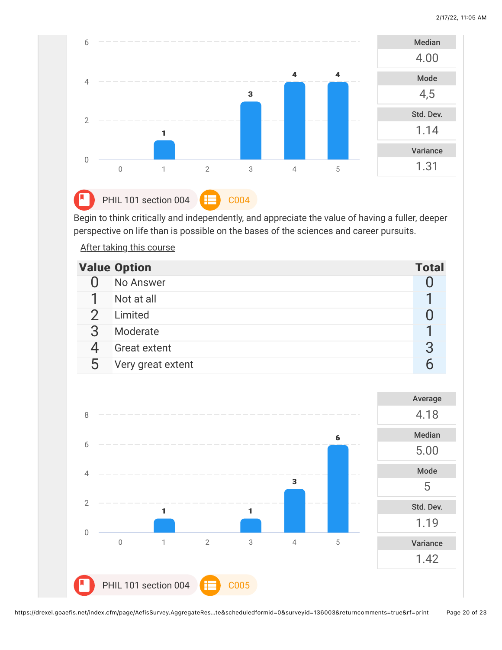

PHIL 101 section 004  $\leftarrow$  C004

Begin to think critically and independently, and appreciate the value of having a fuller, deeper perspective on life than is possible on the bases of the sciences and career pursuits.

|             | <b>Value Option</b> | <b>Total</b> |
|-------------|---------------------|--------------|
|             | No Answer           |              |
|             | Not at all          |              |
|             | Limited             |              |
|             | Moderate            |              |
|             | <b>Great extent</b> |              |
| $\mathbf b$ | Very great extent   |              |

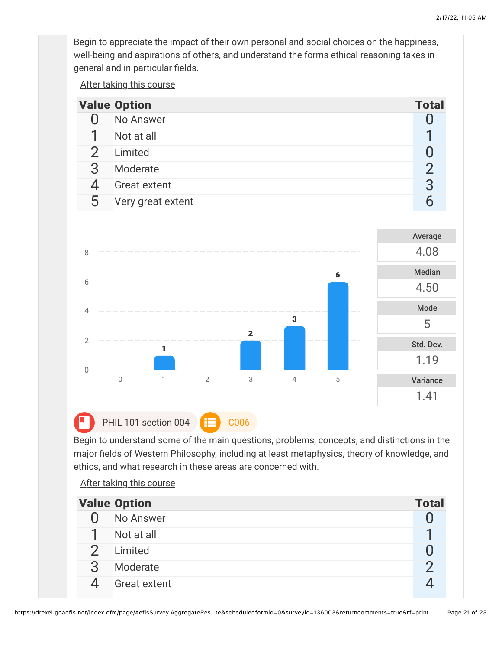Begin to appreciate the impact of their own personal and social choices on the happiness, well-being and aspirations of others, and understand the forms ethical reasoning takes in general and in particular fields.

After taking this course

|   | <b>Value Option</b> | <b>Total</b> |
|---|---------------------|--------------|
|   | No Answer           |              |
|   | Not at all          |              |
|   | Limited             |              |
|   | Moderate            |              |
|   | <b>Great extent</b> | 3            |
| ხ | Very great extent   |              |



Begin to understand some of the main questions, problems, concepts, and distinctions in the major fields of Western Philosophy, including at least metaphysics, theory of knowledge, and ethics, and what research in these areas are concerned with.

|   | <b>Value Option</b> | <b>Total</b> |
|---|---------------------|--------------|
|   | No Answer           |              |
|   | Not at all          |              |
|   | Limited             |              |
| 3 | Moderate            |              |
|   | <b>Great extent</b> |              |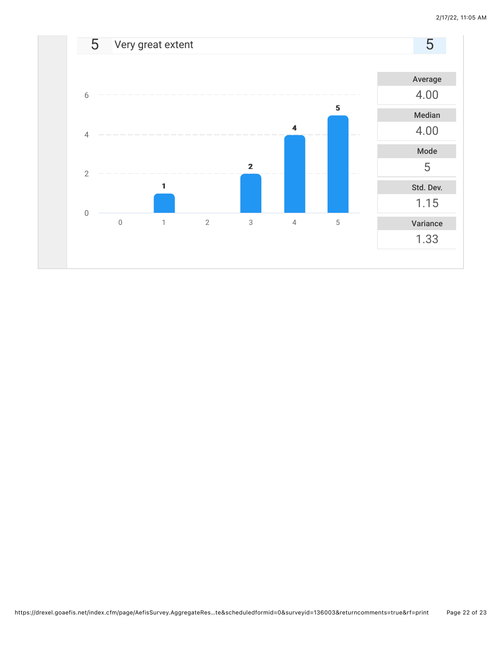